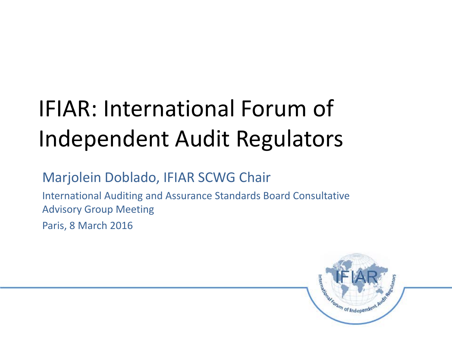# IFIAR: International Forum of Independent Audit Regulators

#### Marjolein Doblado, IFIAR SCWG Chair

International Auditing and Assurance Standards Board Consultative Advisory Group Meeting

Paris, 8 March 2016

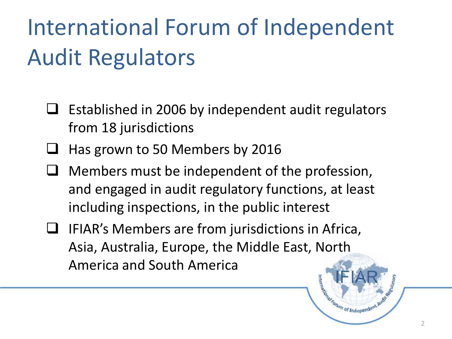# International Forum of Independent Audit Regulators

- $\Box$  Established in 2006 by independent audit regulators from 18 jurisdictions
- Has grown to 50 Members by 2016
- $\Box$  Members must be independent of the profession, and engaged in audit regulatory functions, at least including inspections, in the public interest
- $\Box$  IFIAR's Members are from jurisdictions in Africa, Asia, Australia, Europe, the Middle East, North America and South America MAR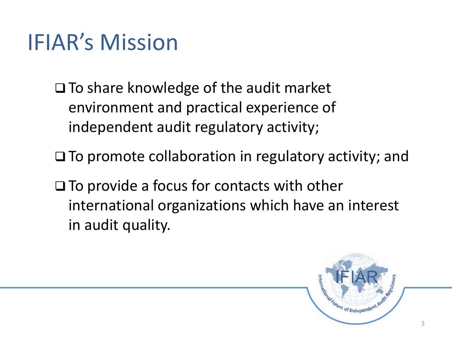### IFIAR's Mission

- $\Box$  To share knowledge of the audit market environment and practical experience of independent audit regulatory activity;
- $\square$  To promote collaboration in regulatory activity; and
- $\Box$  To provide a focus for contacts with other international organizations which have an interest in audit quality.

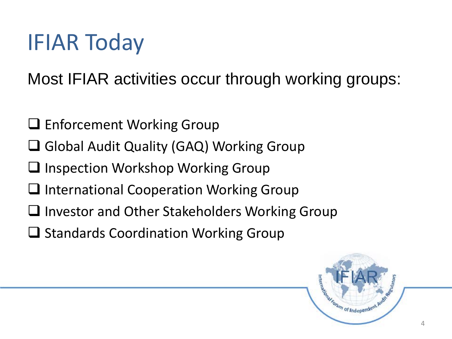Most IFIAR activities occur through working groups:

- **□ Enforcement Working Group**
- **□ Global Audit Quality (GAQ) Working Group**
- $\Box$  Inspection Workshop Working Group
- $\Box$  International Cooperation Working Group
- $\Box$  Investor and Other Stakeholders Working Group
- $\Box$  Standards Coordination Working Group

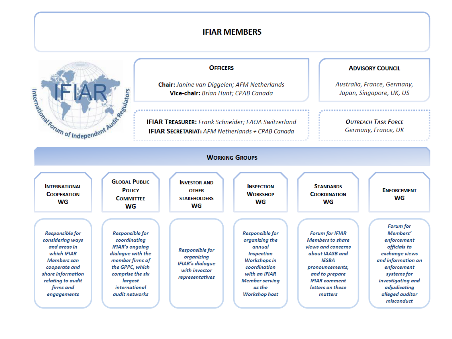#### **IFIAR MEMBERS**



#### **OFFICERS**

Chair: Janine van Diggelen; AFM Netherlands Vice-chair: Brian Hunt; CPAB Canada

**IFIAR TREASURER:** Frank Schneider; FAOA Switzerland **IFIAR SECRETARIAT:** AFM Netherlands + CPAB Canada

#### **ADVISORY COUNCIL**

Australia, France, Germany, Japan, Singapore, UK, US

> **OUTREACH TASK FORCE** Germany, France, UK

| <b>WORKING GROUPS</b>                                                                                                                                                           |                                                                                                                                                                                                      |                                                                                                     |                                                                                                                                                                              |                                                                                                                                                                                                 |                                                                                                                                                                                                  |  |
|---------------------------------------------------------------------------------------------------------------------------------------------------------------------------------|------------------------------------------------------------------------------------------------------------------------------------------------------------------------------------------------------|-----------------------------------------------------------------------------------------------------|------------------------------------------------------------------------------------------------------------------------------------------------------------------------------|-------------------------------------------------------------------------------------------------------------------------------------------------------------------------------------------------|--------------------------------------------------------------------------------------------------------------------------------------------------------------------------------------------------|--|
| <b>INTERNATIONAL</b><br><b>COOPERATION</b><br>WG                                                                                                                                | <b>GLOBAL PUBLIC</b><br><b>POLICY</b><br><b>COMMITTEE</b><br>WG                                                                                                                                      | <b>INVESTOR AND</b><br><b>OTHER</b><br><b>STAKEHOLDERS</b><br>WG                                    | <b>INSPECTION</b><br><b>WORKSHOP</b><br>WG                                                                                                                                   | <b>STANDARDS</b><br><b>COORDINATION</b><br>WG                                                                                                                                                   | <b>ENFORCEMENT</b><br>WG                                                                                                                                                                         |  |
| <b>Responsible for</b><br>considering ways<br>and areas in<br>which IFIAR<br>Members can<br>cooperate and<br>share information<br>relating to audit<br>firms and<br>engagements | <b>Responsible for</b><br>coordinating<br><b>IFIAR's ongoing</b><br>dialogue with the<br>member firms of<br>the GPPC, which<br>comprise the six<br>largest<br><i>international</i><br>audit networks | <b>Responsible for</b><br>organizing<br><b>IFIAR's dialogue</b><br>with investor<br>representatives | <b>Responsible for</b><br>organizing the<br>annual<br><b>Inspection</b><br>Workshops in<br>coordination<br>with an IFIAR<br><b>Member serving</b><br>as the<br>Workshop host | <b>Forum for IFIAR</b><br><b>Members to share</b><br>views and concerns<br>about IAASB and<br>IESBA<br>pronouncements,<br>and to prepare<br><b>IFIAR</b> comment<br>letters on these<br>matters | Forum for<br>Members'<br>enforcement<br>officials to<br>exchange views<br>and information on<br>enforcement<br>systems for<br>investigating and<br>adjudicating<br>alleged auditor<br>misconduct |  |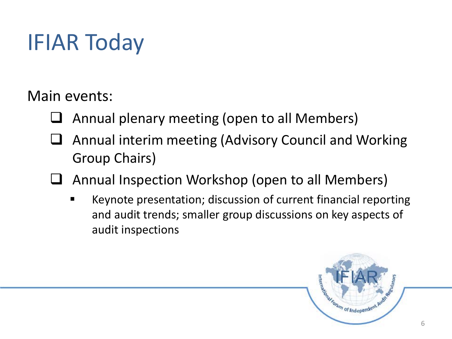Main events:

- Annual plenary meeting (open to all Members)
- Annual interim meeting (Advisory Council and Working Group Chairs)
- Annual Inspection Workshop (open to all Members)
	- Keynote presentation; discussion of current financial reporting and audit trends; smaller group discussions on key aspects of audit inspections

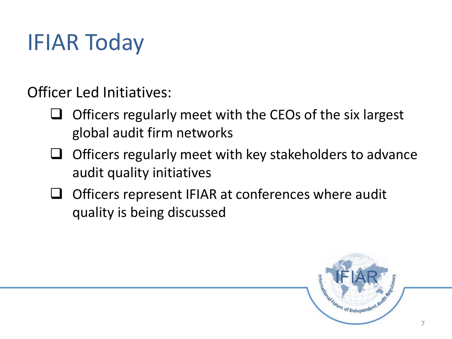Officer Led Initiatives:

- $\Box$  Officers regularly meet with the CEOs of the six largest global audit firm networks
- $\Box$  Officers regularly meet with key stakeholders to advance audit quality initiatives
- Officers represent IFIAR at conferences where audit quality is being discussed

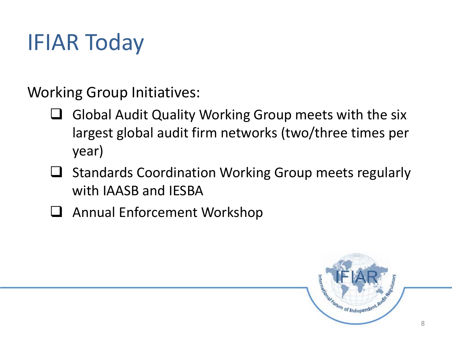Working Group Initiatives:

- $\Box$  Global Audit Quality Working Group meets with the six largest global audit firm networks (two/three times per year)
- $\Box$  Standards Coordination Working Group meets regularly with IAASB and IESBA
- □ Annual Enforcement Workshop

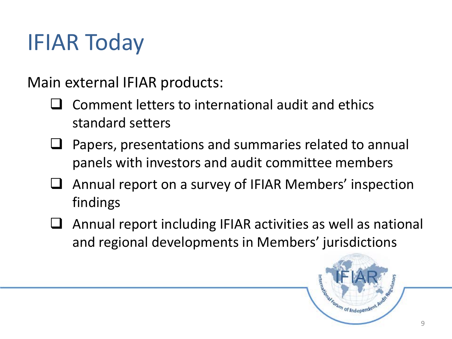Main external IFIAR products:

- Comment letters to international audit and ethics standard setters
- Papers, presentations and summaries related to annual panels with investors and audit committee members
- Annual report on a survey of IFIAR Members' inspection findings
- Annual report including IFIAR activities as well as national and regional developments in Members' jurisdictions

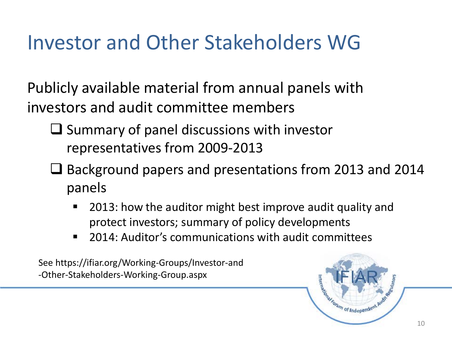### Investor and Other Stakeholders WG

Publicly available material from annual panels with investors and audit committee members

- $\Box$  Summary of panel discussions with investor representatives from 2009-2013
- $\Box$  Background papers and presentations from 2013 and 2014 panels
	- 2013: how the auditor might best improve audit quality and protect investors; summary of policy developments
	- 2014: Auditor's communications with audit committees

See https://ifiar.org/Working-Groups/Investor-and -Other-Stakeholders-Working-Group.aspx

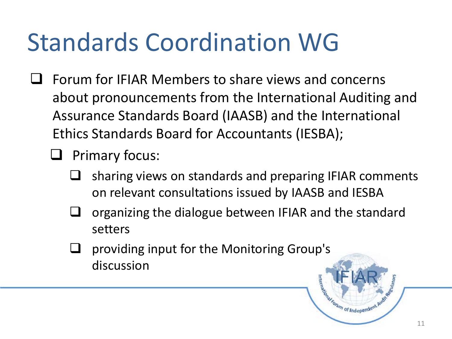# Standards Coordination WG

- $\Box$  Forum for IFIAR Members to share views and concerns about pronouncements from the International Auditing and Assurance Standards Board (IAASB) and the International Ethics Standards Board for Accountants (IESBA);
	- Primary focus:
		- $\Box$  sharing views on standards and preparing IFIAR comments on relevant consultations issued by IAASB and IESBA
		- $\Box$  organizing the dialogue between IFIAR and the standard setters
		- providing input for the Monitoring Group's discussion Manufacture of Independent P

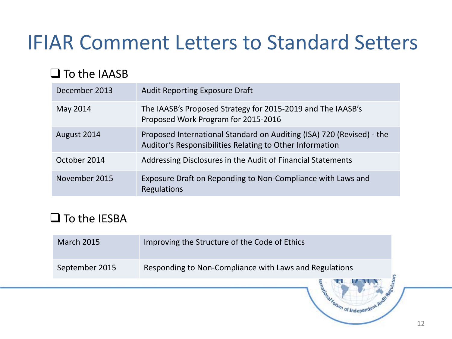### IFIAR Comment Letters to Standard Setters

#### $\square$  To the IAASB

| December 2013 | <b>Audit Reporting Exposure Draft</b>                                                                                             |
|---------------|-----------------------------------------------------------------------------------------------------------------------------------|
| May 2014      | The IAASB's Proposed Strategy for 2015-2019 and The IAASB's<br>Proposed Work Program for 2015-2016                                |
| August 2014   | Proposed International Standard on Auditing (ISA) 720 (Revised) - the<br>Auditor's Responsibilities Relating to Other Information |
| October 2014  | Addressing Disclosures in the Audit of Financial Statements                                                                       |
| November 2015 | Exposure Draft on Reponding to Non-Compliance with Laws and<br><b>Regulations</b>                                                 |

#### $\square$  To the IESBA

| <b>March 2015</b> | Improving the Structure of the Code of Ethics          |
|-------------------|--------------------------------------------------------|
| September 2015    | Responding to Non-Compliance with Laws and Regulations |
|                   |                                                        |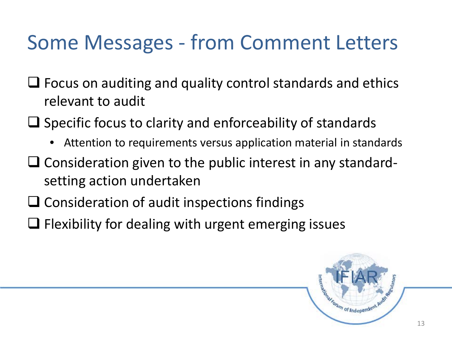### Some Messages - from Comment Letters

- $\Box$  Focus on auditing and quality control standards and ethics relevant to audit
- $\Box$  Specific focus to clarity and enforceability of standards
	- Attention to requirements versus application material in standards
- $\Box$  Consideration given to the public interest in any standardsetting action undertaken
- $\Box$  Consideration of audit inspections findings
- $\Box$  Flexibility for dealing with urgent emerging issues

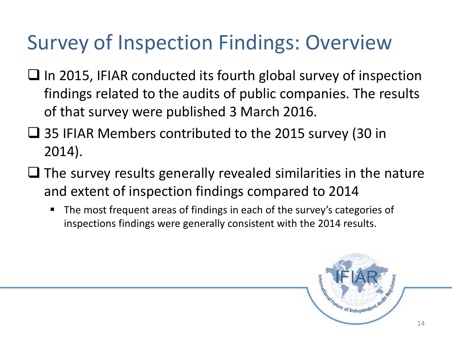### Survey of Inspection Findings: Overview

- $\Box$  In 2015, IFIAR conducted its fourth global survey of inspection findings related to the audits of public companies. The results of that survey were published 3 March 2016.
- 35 IFIAR Members contributed to the 2015 survey (30 in 2014).
- $\Box$  The survey results generally revealed similarities in the nature and extent of inspection findings compared to 2014
	- **The most frequent areas of findings in each of the survey's categories of** inspections findings were generally consistent with the 2014 results.

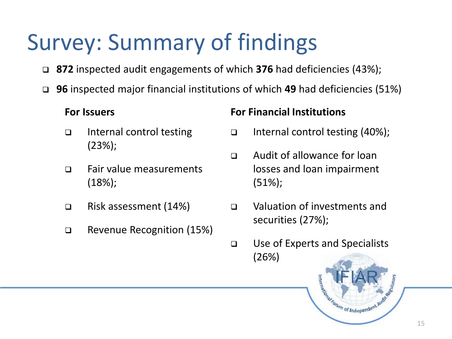## Survey: Summary of findings

- **872** inspected audit engagements of which **376** had deficiencies (43%);
- **96** inspected major financial institutions of which **49** had deficiencies (51%)

#### **For Issuers**

- □ Internal control testing (23%);
- □ Fair value measurements (18%);
- □ Risk assessment (14%)
- Revenue Recognition (15%)

#### **For Financial Institutions**

- Internal control testing  $(40\%)$ ;
- Audit of allowance for loan losses and loan impairment (51%);
- Valuation of investments and securities (27%);
- Use of Experts and Specialists (26%)

Manufacturing of Independent Avenue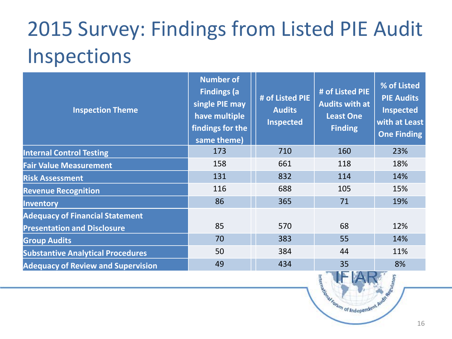### 2015 Survey: Findings from Listed PIE Audit Inspections

| <b>Inspection Theme</b>                                                      | <b>Number of</b><br><b>Findings (a)</b><br>single PIE may<br>have multiple<br>findings for the<br>same theme) | # of Listed PIE<br><b>Audits</b><br><b>Inspected</b> | # of Listed PIE<br><b>Audits with at</b><br><b>Least One</b><br><b>Finding</b> | % of Listed<br><b>PIE Audits</b><br>Inspected<br>with at Least<br><b>One Finding</b> |
|------------------------------------------------------------------------------|---------------------------------------------------------------------------------------------------------------|------------------------------------------------------|--------------------------------------------------------------------------------|--------------------------------------------------------------------------------------|
| <b>Internal Control Testing</b>                                              | 173                                                                                                           | 710                                                  | 160                                                                            | 23%                                                                                  |
| <b>Fair Value Measurement</b>                                                | 158                                                                                                           | 661                                                  | 118                                                                            | 18%                                                                                  |
| <b>Risk Assessment</b>                                                       | 131                                                                                                           | 832                                                  | 114                                                                            | 14%                                                                                  |
| <b>Revenue Recognition</b>                                                   | 116                                                                                                           | 688                                                  | 105                                                                            | 15%                                                                                  |
| <b>Inventory</b>                                                             | 86                                                                                                            | 365                                                  | 71                                                                             | 19%                                                                                  |
| <b>Adequacy of Financial Statement</b><br><b>Presentation and Disclosure</b> | 85                                                                                                            | 570                                                  | 68                                                                             | 12%                                                                                  |
| <b>Group Audits</b>                                                          | 70                                                                                                            | 383                                                  | 55                                                                             | 14%                                                                                  |
| <b>Substantive Analytical Procedures</b>                                     | 50                                                                                                            | 384                                                  | 44                                                                             | 11%                                                                                  |
| <b>Adequacy of Review and Supervision</b>                                    | 49                                                                                                            | 434                                                  | 35                                                                             | 8%                                                                                   |

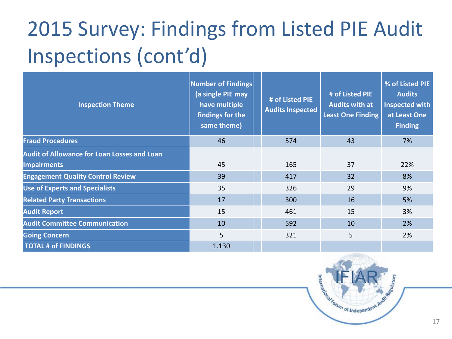## 2015 Survey: Findings from Listed PIE Audit Inspections (cont'd)

| <b>Inspection Theme</b>                            | <b>Number of Findings</b><br>(a single PIE may<br>have multiple<br>findings for the<br>same theme) | # of Listed PIE<br><b>Audits Inspected</b> | # of Listed PIE<br><b>Audits with at</b><br><b>Least One Finding</b> | % of Listed PIE<br><b>Audits</b><br><b>Inspected with</b><br>at Least One<br><b>Finding</b> |
|----------------------------------------------------|----------------------------------------------------------------------------------------------------|--------------------------------------------|----------------------------------------------------------------------|---------------------------------------------------------------------------------------------|
| <b>Fraud Procedures</b>                            | 46                                                                                                 | 574                                        | 43                                                                   | 7%                                                                                          |
| <b>Audit of Allowance for Loan Losses and Loan</b> |                                                                                                    |                                            |                                                                      |                                                                                             |
| <b>Impairments</b>                                 | 45                                                                                                 | 165                                        | 37                                                                   | 22%                                                                                         |
| <b>Engagement Quality Control Review</b>           | 39                                                                                                 | 417                                        | 32                                                                   | 8%                                                                                          |
| <b>Use of Experts and Specialists</b>              | 35                                                                                                 | 326                                        | 29                                                                   | 9%                                                                                          |
| <b>Related Party Transactions</b>                  | 17                                                                                                 | 300                                        | 16                                                                   | 5%                                                                                          |
| <b>Audit Report</b>                                | 15                                                                                                 | 461                                        | 15                                                                   | 3%                                                                                          |
| <b>Audit Committee Communication</b>               | 10                                                                                                 | 592                                        | 10                                                                   | 2%                                                                                          |
| <b>Going Concern</b>                               | 5                                                                                                  | 321                                        | 5 <sup>5</sup>                                                       | 2%                                                                                          |
| <b>TOTAL # of FINDINGS</b>                         | 1.130                                                                                              |                                            |                                                                      |                                                                                             |

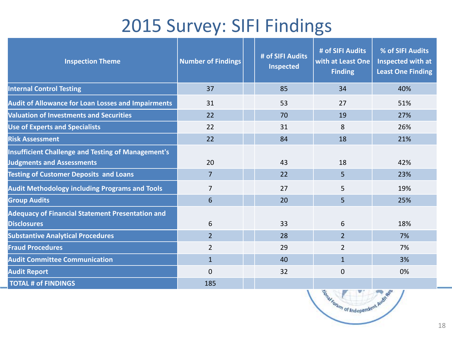#### 2015 Survey: SIFI Findings

| <b>Inspection Theme</b>                                                                       | <b>Number of Findings</b> | # of SIFI Audits<br><b>Inspected</b> | # of SIFI Audits<br>with at Least One<br><b>Finding</b> | % of SIFI Audits<br>Inspected with at<br><b>Least One Finding</b> |
|-----------------------------------------------------------------------------------------------|---------------------------|--------------------------------------|---------------------------------------------------------|-------------------------------------------------------------------|
| <b>Internal Control Testing</b>                                                               | 37                        | 85                                   | 34                                                      | 40%                                                               |
| <b>Audit of Allowance for Loan Losses and Impairments</b>                                     | 31                        | 53                                   | 27                                                      | 51%                                                               |
| <b>Valuation of Investments and Securities</b>                                                | 22                        | 70                                   | 19                                                      | 27%                                                               |
| <b>Use of Experts and Specialists</b>                                                         | 22                        | 31                                   | 8                                                       | 26%                                                               |
| <b>Risk Assessment</b>                                                                        | 22                        | 84                                   | 18                                                      | 21%                                                               |
| <b>Insufficient Challenge and Testing of Management's</b><br><b>Judgments and Assessments</b> | 20                        | 43                                   | 18                                                      | 42%                                                               |
| <b>Testing of Customer Deposits and Loans</b>                                                 | $\overline{7}$            | 22                                   | 5                                                       | 23%                                                               |
| <b>Audit Methodology including Programs and Tools</b>                                         | $\overline{7}$            | 27                                   | 5                                                       | 19%                                                               |
| <b>Group Audits</b>                                                                           | 6                         | 20                                   | 5                                                       | 25%                                                               |
| <b>Adequacy of Financial Statement Presentation and</b><br><b>Disclosures</b>                 | 6                         | 33                                   | 6                                                       | 18%                                                               |
| <b>Substantive Analytical Procedures</b>                                                      | $\overline{2}$            | 28                                   | $\overline{2}$                                          | 7%                                                                |
| <b>Fraud Procedures</b>                                                                       | $\overline{2}$            | 29                                   | $\overline{2}$                                          | 7%                                                                |
| <b>Audit Committee Communication</b>                                                          | $\mathbf{1}$              | 40                                   | $\mathbf{1}$                                            | 3%                                                                |
| <b>Audit Report</b>                                                                           | 0                         | 32                                   | $\overline{0}$                                          | 0%                                                                |
| <b>TOTAL # of FINDINGS</b>                                                                    | 185                       |                                      |                                                         |                                                                   |

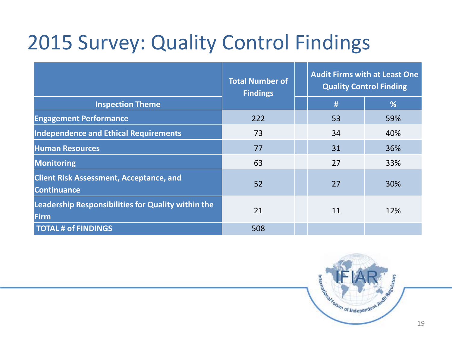### 2015 Survey: Quality Control Findings

|                                                                      | <b>Total Number of</b><br><b>Findings</b> |  | <b>Audit Firms with at Least One</b><br><b>Quality Control Finding</b> |     |
|----------------------------------------------------------------------|-------------------------------------------|--|------------------------------------------------------------------------|-----|
| <b>Inspection Theme</b>                                              |                                           |  | #                                                                      | %   |
| <b>Engagement Performance</b>                                        | 222                                       |  | 53                                                                     | 59% |
| <b>Independence and Ethical Requirements</b>                         | 73                                        |  | 34                                                                     | 40% |
| <b>Human Resources</b>                                               | 77                                        |  | 31                                                                     | 36% |
| <b>Monitoring</b>                                                    | 63                                        |  | 27                                                                     | 33% |
| <b>Client Risk Assessment, Acceptance, and</b><br><b>Continuance</b> | 52                                        |  | 27                                                                     | 30% |
| <b>Leadership Responsibilities for Quality within the</b><br>Firm    | 21                                        |  | 11                                                                     | 12% |
| <b>TOTAL # of FINDINGS</b>                                           | 508                                       |  |                                                                        |     |

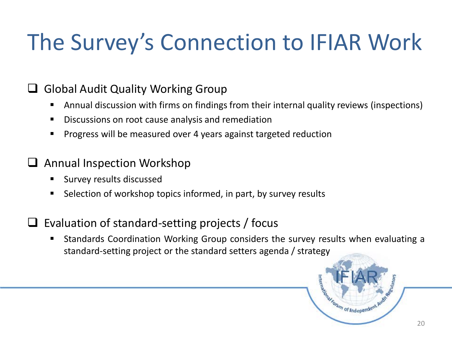## The Survey's Connection to IFIAR Work

#### Global Audit Quality Working Group

- Annual discussion with firms on findings from their internal quality reviews (inspections)
- Discussions on root cause analysis and remediation
- **Progress will be measured over 4 years against targeted reduction**

#### Annual Inspection Workshop

- **Survey results discussed**
- Selection of workshop topics informed, in part, by survey results

#### $\Box$  Evaluation of standard-setting projects / focus

 Standards Coordination Working Group considers the survey results when evaluating a standard-setting project or the standard setters agenda / strategy

Manufacture of Independent P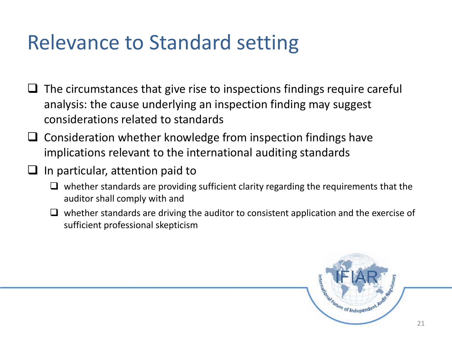### Relevance to Standard setting

- $\Box$  The circumstances that give rise to inspections findings require careful analysis: the cause underlying an inspection finding may suggest considerations related to standards
- $\Box$  Consideration whether knowledge from inspection findings have implications relevant to the international auditing standards
- $\Box$  In particular, attention paid to
	- $\Box$  whether standards are providing sufficient clarity regarding the requirements that the auditor shall comply with and
	- $\Box$  whether standards are driving the auditor to consistent application and the exercise of sufficient professional skepticism

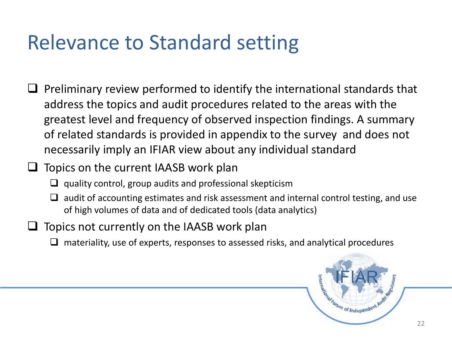### Relevance to Standard setting

- $\Box$  Preliminary review performed to identify the international standards that address the topics and audit procedures related to the areas with the greatest level and frequency of observed inspection findings. A summary of related standards is provided in appendix to the survey and does not necessarily imply an IFIAR view about any individual standard
- $\Box$  Topics on the current IAASB work plan
	- $\Box$  quality control, group audits and professional skepticism
	- $\Box$  audit of accounting estimates and risk assessment and internal control testing, and use of high volumes of data and of dedicated tools (data analytics)
- Topics not currently on the IAASB work plan
	- $\Box$  materiality, use of experts, responses to assessed risks, and analytical procedures

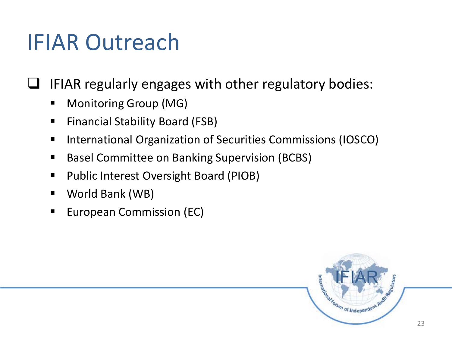### IFIAR Outreach

IFIAR regularly engages with other regulatory bodies:

- **Monitoring Group (MG)**
- **Financial Stability Board (FSB)**
- **International Organization of Securities Commissions (IOSCO)**
- Basel Committee on Banking Supervision (BCBS)
- Public Interest Oversight Board (PIOB)
- World Bank (WB)
- **European Commission (EC)**

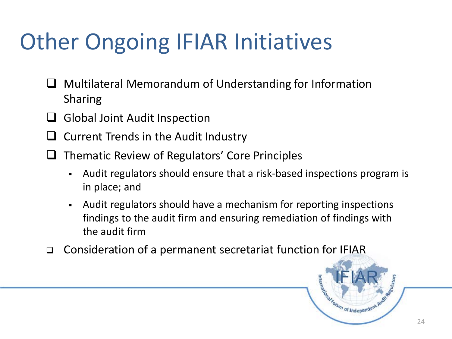## Other Ongoing IFIAR Initiatives

- $\Box$  Multilateral Memorandum of Understanding for Information Sharing
- $\Box$  Global Joint Audit Inspection
- $\Box$  Current Trends in the Audit Industry
- $\Box$  Thematic Review of Regulators' Core Principles
	- Audit regulators should ensure that a risk-based inspections program is in place; and
	- Audit regulators should have a mechanism for reporting inspections findings to the audit firm and ensuring remediation of findings with the audit firm
- Consideration of a permanent secretariat function for IFIAR